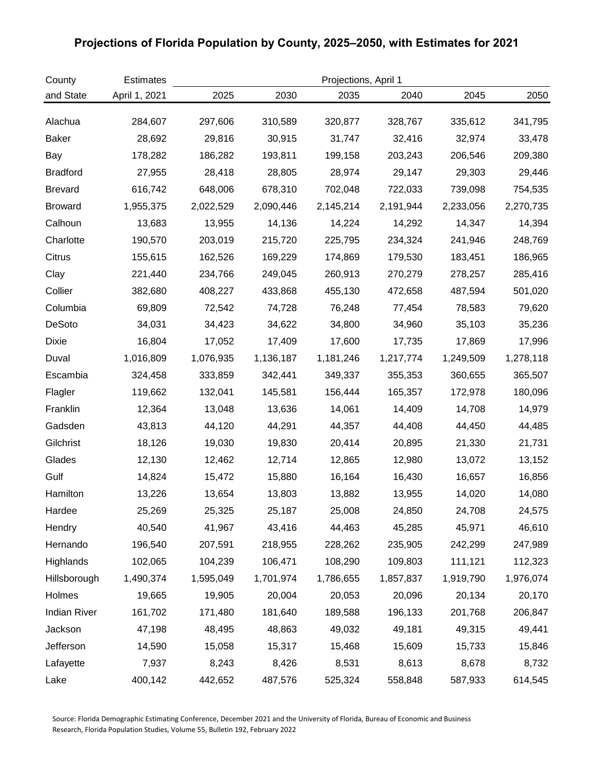## **Projections of Florida Population by County, 2025–2050, with Estimates for 2021**

| County              | <b>Estimates</b> | Projections, April 1 |           |           |           |           |           |  |
|---------------------|------------------|----------------------|-----------|-----------|-----------|-----------|-----------|--|
| and State           | April 1, 2021    | 2025                 | 2030      | 2035      | 2040      | 2045      | 2050      |  |
| Alachua             | 284,607          | 297,606              | 310,589   | 320,877   | 328,767   | 335,612   | 341,795   |  |
| <b>Baker</b>        | 28,692           | 29,816               | 30,915    | 31,747    | 32,416    | 32,974    | 33,478    |  |
| Bay                 | 178,282          | 186,282              | 193,811   | 199,158   | 203,243   | 206,546   | 209,380   |  |
| <b>Bradford</b>     | 27,955           | 28,418               | 28,805    | 28,974    | 29,147    | 29,303    | 29,446    |  |
| <b>Brevard</b>      | 616,742          | 648,006              | 678,310   | 702,048   | 722,033   | 739,098   | 754,535   |  |
| <b>Broward</b>      | 1,955,375        | 2,022,529            | 2,090,446 | 2,145,214 | 2,191,944 | 2,233,056 | 2,270,735 |  |
| Calhoun             | 13,683           | 13,955               | 14,136    | 14,224    | 14,292    | 14,347    | 14,394    |  |
| Charlotte           | 190,570          | 203,019              | 215,720   | 225,795   | 234,324   | 241,946   | 248,769   |  |
| Citrus              | 155,615          | 162,526              | 169,229   | 174,869   | 179,530   | 183,451   | 186,965   |  |
| Clay                | 221,440          | 234,766              | 249,045   | 260,913   | 270,279   | 278,257   | 285,416   |  |
| Collier             | 382,680          | 408,227              | 433,868   | 455,130   | 472,658   | 487,594   | 501,020   |  |
| Columbia            | 69,809           | 72,542               | 74,728    | 76,248    | 77,454    | 78,583    | 79,620    |  |
| DeSoto              | 34,031           | 34,423               | 34,622    | 34,800    | 34,960    | 35,103    | 35,236    |  |
| Dixie               | 16,804           | 17,052               | 17,409    | 17,600    | 17,735    | 17,869    | 17,996    |  |
| Duval               | 1,016,809        | 1,076,935            | 1,136,187 | 1,181,246 | 1,217,774 | 1,249,509 | 1,278,118 |  |
| Escambia            | 324,458          | 333,859              | 342,441   | 349,337   | 355,353   | 360,655   | 365,507   |  |
| Flagler             | 119,662          | 132,041              | 145,581   | 156,444   | 165,357   | 172,978   | 180,096   |  |
| Franklin            | 12,364           | 13,048               | 13,636    | 14,061    | 14,409    | 14,708    | 14,979    |  |
| Gadsden             | 43,813           | 44,120               | 44,291    | 44,357    | 44,408    | 44,450    | 44,485    |  |
| Gilchrist           | 18,126           | 19,030               | 19,830    | 20,414    | 20,895    | 21,330    | 21,731    |  |
| Glades              | 12,130           | 12,462               | 12,714    | 12,865    | 12,980    | 13,072    | 13,152    |  |
| Gulf                | 14,824           | 15,472               | 15,880    | 16,164    | 16,430    | 16,657    | 16,856    |  |
| Hamilton            | 13,226           | 13,654               | 13,803    | 13,882    | 13,955    | 14,020    | 14,080    |  |
| Hardee              | 25,269           | 25,325               | 25,187    | 25,008    | 24,850    | 24,708    | 24,575    |  |
| Hendry              | 40,540           | 41,967               | 43,416    | 44,463    | 45,285    | 45,971    | 46,610    |  |
| Hernando            | 196,540          | 207,591              | 218,955   | 228,262   | 235,905   | 242,299   | 247,989   |  |
| Highlands           | 102,065          | 104,239              | 106,471   | 108,290   | 109,803   | 111,121   | 112,323   |  |
| Hillsborough        | 1,490,374        | 1,595,049            | 1,701,974 | 1,786,655 | 1,857,837 | 1,919,790 | 1,976,074 |  |
| Holmes              | 19,665           | 19,905               | 20,004    | 20,053    | 20,096    | 20,134    | 20,170    |  |
| <b>Indian River</b> | 161,702          | 171,480              | 181,640   | 189,588   | 196,133   | 201,768   | 206,847   |  |
| Jackson             | 47,198           | 48,495               | 48,863    | 49,032    | 49,181    | 49,315    | 49,441    |  |
| Jefferson           | 14,590           | 15,058               | 15,317    | 15,468    | 15,609    | 15,733    | 15,846    |  |
| Lafayette           | 7,937            | 8,243                | 8,426     | 8,531     | 8,613     | 8,678     | 8,732     |  |
| Lake                | 400,142          | 442,652              | 487,576   | 525,324   | 558,848   | 587,933   | 614,545   |  |

Source: Florida Demographic Estimating Conference, December 2021 and the University of Florida, Bureau of Economic and Business Research, Florida Population Studies, Volume 55, Bulletin 192, February 2022